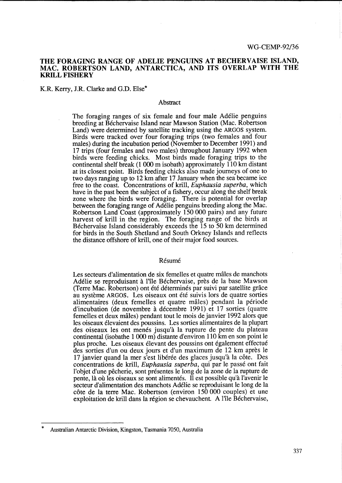# THE FORAGING RANGE OF ADELIE PENGUINS AT BECHERVAISE ISLAND, **MAC. ROBERTSON LAND, ANTARCTICA, AND ITS OVERLAP WITH THE KRILL FISHERY**

K.R. Kerry, J.R. Clarke and G.D. Else\*

#### Abstract

The foraging ranges of six female and four male Adelie penguins breeding at Béchervaise Island near Mawson Station (Mac. Robertson Land) were determined by satellite tracking using the ARGOS system. Birds were tracked over four foraging trips (two females and four males) during the incubation period (November to December 1991) and 17 trips (four females and two males) throughout January 1992 when birds were feeding chicks. Most birds made foraging trips to the continental shelf break (1 000 m isobath) approximately 110 km distant at its closest point. Birds feeding chicks also made journeys of one to two days ranging up to 12 km after 17 January when the sea became ice free to the coast. Concentrations of krill, *Euphausia superba,* which have in the past been the subject of a fishery, occur along the shelf break zone where the birds were foraging. There is potential for overlap between the foraging range of Adelie penguins breeding along the Mac. Robertson Land Coast (approximately 150000 pairs) and any future harvest of krill in the region. The foraging range of the birds at Bechervaise Island considerably exceeds the 15 to 50 km determined for birds in the South Shetland and South Orkney Islands and reflects the distance offshore of krill, one of their major food sources.

# Résumé

Les secteurs d'alimentation de six femelles et quatre mâles de manchots Adélie se reproduisant à l'île Béchervaise, près de la base Mawson (Terre Mac. Robertson) ont ete determines par suivi par satellite grace au système ARGOS. Les oiseaux ont été suivis lors de quatre sorties alimentaires (deux femelles et quatre mâles) pendant la période d'incubation (de novembre a decembre 1991) et 17 sorties (quatre femelles et deux males) pendant tout le mois de janvier 1992 alors que les oiseaux elevaient des poussins. Les sorties alimentaires de la plupart des oiseaux les ont menés jusqu'à la rupture de pente du plateau continental (isobathe 1 000 m) distante d'environ 110 km en son point le plus proche. Les oiseaux élevant des poussins ont également effectué des sorties d'un ou deux jours et d'un maximum de 12 km apres le 17 janvier quand la mer s'est libérée des glaces jusqu'à la côte. Des concentrations de krill, *Euphausia superba,* qui par le passe ont fait l'objet d'une pecherie, sont presentes le long de la zone de la rupture de pente, là où les oiseaux se sont alimentés. Il est possible qu'à l'avenir le secteur d'alimentation des manchots Adelie se reproduisant le long de la côte de la terre Mac. Robertson (environ 150 000 couples) et une exploitation de krill dans la région se chevauchent. A l'île Béchervaise,

<sup>\*</sup> Australian Antarctic Division, Kingston, Tasmania 7050, Australia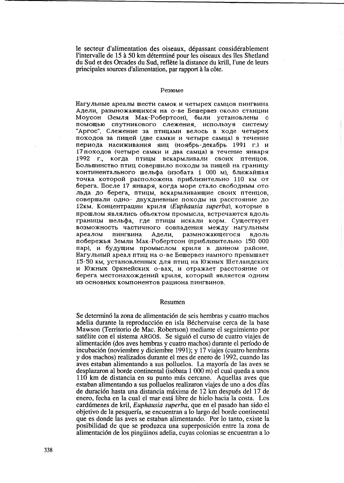le secteur d'alimentation des oiseaux, dépassant considérablement l'intervalle de 15 à 50 km déterminé pour les oiseaux des îles Shetland du Sud et des Orcades du Sud, reflète la distance du krill, l'une de leurs principales sources d'alimentation, par rapport à la côte.

#### Резюме

Нагульные ареалы шести самок и четырех самцов пингвина Адели, размножающихся на о-ве Бешервез около станции Моусон (Земля Мак-Робертсон), были установлены с помощью спутникового слежения, используя систему "Аргос". Слежение за птицами велось в ходе четырех походов за пищей (две самки и четыре самца) в течение периода насиживания яиц (ноябрь-декабрь 1991 г.) и 17 походов (четыре самки и два самца) в течение января 1992 г., когда птицы вскармливали своих птенцов. Большинство птиц совершило походы за пищей на границу континентального шельфа (изобата 1 000 м), ближайшая точка которой расположена приблизительно 110 км от берега. После 17 января, когда море стало свободным ото льда до берега, птицы, вскармливающие своих птенцов, совершали одно- двухдневные походы на расстояние до 12км. Концентрации криля (Euphausia superba), которые в прошлом являлись объектом промысла, встречаются вдоль границы шельфа, где птицы искали корм. Существует возможность частичного совпадения между нагульным ареалом пингвина Адели, размножающегося вдоль побережья Земли Мак-Робертсон (приблизительно 150 000 пар), и будущим промыслом криля в данном районе. Нагульный ареал птиц на о-ве Бешервез намного превышает 15-50 км, установленных для птиц на Южных Шетландских и Южных Оркнейских о-вах, и отражает расстояние от берега местонахождений криля, который является одним из основных компонентов рациона пингвинов.

#### Resumen

Se determinó la zona de alimentación de seis hembras y cuatro machos adelia durante la reproducción en isla Béchervaise cerca de la base Mawson (Territorio de Mac. Robertson) mediante el seguimiento por satélite con el sistema ARGOS. Se siguió el curso de cuatro viajes de alimentación (dos aves hembras y cuatro machos) durante el período de incubación (noviembre y diciembre 1991); y 17 viajes (cuatro hembras y dos machos) realizados durante el mes de enero de 1992, cuando las aves estaban alimentando a sus polluelos. La mayoría de las aves se desplazaron al borde continental (isóbata 1 000 m) el cual queda a unos 110 km de distancia en su punto más cercano. Aquellas aves que estaban alimentando a sus polluelos realizaron viajes de uno a dos días de duración hasta una distancia máxima de 12 km después del 17 de enero, fecha en la cual el mar está libre de hielo hacia la costa. Los cardúmenes de kril, Euphausia superba, que en el pasado han sido el objetivo de la pesquería, se encuentran a lo largo del borde continental que es donde las aves se estaban alimentando. Por lo tanto, existe la posibilidad de que se produzca una superposición entre la zona de alimentación de los pingüinos adelia, cuyas colonias se encuentran a lo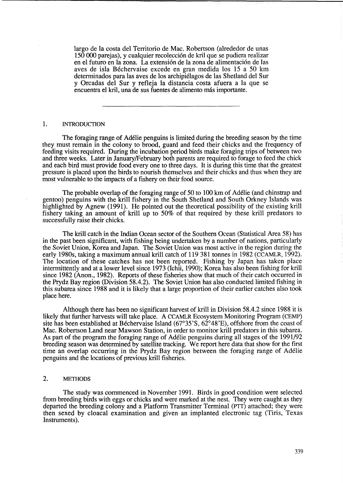largo de la costa del Territorio de Mac. Robertson (alrededor de unas 150000 parejas), y cualquier recoleccion de kril que se pudiera realizar en el futuro en la zona. La extension de la zona de alimentacion de las aves de isla Béchervaise excede en gran medida los 15 a 50 km determinados para las aves de los archipi6lagos de las Shetland del Sur y Orcadas del Sur y refleja la distancia costa afuera a la que se encuentra el kril, una de sus fuentes de alimento más importante.

# 1. INTRODUCTION

The foraging range of Ad6lie penguins is limited during the breeding season by the time they must remain in the colony to brood, guard and feed their chicks and the frequency of feeding visits required. During the incubation period birds make foraging trips of between two and three weeks. Later in January/February both parents are required to forage to feed the chick and each bird must provide food every one to three days. It is during this time that the greatest pressure is placed upon the birds to nourish themselves and their chicks and thus when they are most vulnerable to the impacts of a fishery on their food source.

The probable overlap of the foraging range of 50 to 100 km of Ad6lie (and chinstrap and gentoo) penguins with the krill fishery in the South Shetland and South Orkney Islands was highlighted by Agnew (1991). He pointed out the theoretical possibility of the existing krill fishery taking an amount of krill up to 50% of that required by these krill predators to successfully raise their chicks.

The krill catch in the Indian Ocean sector of the Southern Ocean (Statistical Area 58) has in the past been significant, with fishing being undertaken by a number of nations, particularly the Soviet Union, Korea and Japan. The Soviet Union was most active in the region during the early 1980s, taking a maximum annual krill catch of 119381 tonnes in 1982 (CCAMLR, 1992). The location of these catches has not been reported. Fishing by Japan has taken place intermittently and at a lower level since 1973 (Ichii, 1990); Korea has also been fishing for krill since 1982 (Anon., 1982). Reports of these fisheries show that much of their catch occurred in the Prydz Bay region (Division 58.4.2). The Soviet Union has also conducted limited fishing in this subarea since 1988 and it is likely that a large proportion of their earlier catches also took place here.

Although there has been no significant harvest of kriU in Division 58.4.2 since 1988 it is likely that further harvests will take place. A CCAMLR Ecosystem Monitoring Program (CEMP) site has been established at Béchervaise Island  $(67°35'S, 62°48'E)$ , offshore from the coast of Mac. Robertson Land near Mawson Station, in order to monitor krill predators in this subarea. As part of the program the foraging range of Ad6lie penguins during all stages of the 1991/92 breeding season was determined by satellite tracking. We report here data that show for the first time an overlap occurring in the Prydz Bay region between the foraging range of Ad6lie penguins and the locations of previous krill fisheries.

# 2. METHODS

The study was commenced in November 1991. Birds in good condition were selected from breeding birds with eggs or chicks and were marked at the nest. They were caught as they departed the breeding colony and a Platform Transmitter Terminal (PTT) attached; they were then sexed by c10acal examination and given an implanted electronic tag (Tiris, Texas Instruments).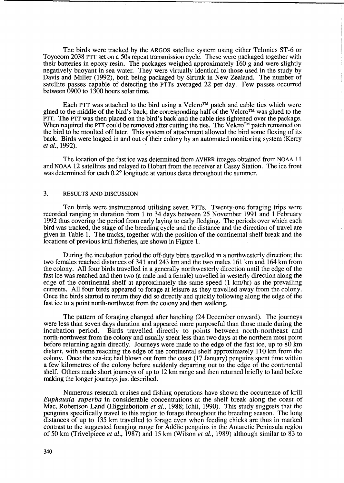The birds were tracked by the ARGOS satellite system using either Telonics ST -6 or Toyocom 2038 PTf set on a 50s repeat transmission cycle. These were packaged together with their batteries in epoxy resin. The packages weighed approximately 160 g and were slightly negatively buoyant in sea water. They were virtually identical to those used in the study by Davis and Miller (1992), both being packaged by Sirtrak in New Zealand. The number of satellite passes capable of detecting the PTTs averaged 22 per day. Few passes occurred between 0900 to 1300 hours solar time.

Each PTT was attached to the bird using a Velcro<sup>TM</sup> patch and cable ties which were glued to the middle of the bird's back; the corresponding half of the Velcro™ was glued to the PTT. The PTT was then placed on the bird's back and the cable ties tightened over the package. When required the PTT could be removed after cutting the ties. The Velcro™ patch remained on the bird to be moulted off later. This system of attachment allowed the bird some flexing of its back. Birds were logged in and out of their colony by an automated monitoring system (Kerry *et al., 1992).* 

The location of the fast ice was determined from AVHRR images obtained from NOAA 11 and NOAA 12 satellites and relayed to Hobart from the receiver at Casey Station. The ice front was determined for each  $0.2^{\circ}$  longitude at various dates throughout the summer.

# 3. RESULTS AND DISCUSSION

Ten birds were instrumented utilising seven PTTs. Twenty-one foraging trips were recorded ranging in duration from 1 to 34 days between 25 November 1991 and 1 February 1992 thus covering the period from early laying to early fledging. The periods over which each bird was tracked, the stage of the breeding cycle and the distance and the direction of travel are given in Table 1. The tracks, together with the position of the continental shelf break and the locations of previous krill fisheries, are shown in Figure 1.

During the incubation period the off-duty birds travelled in a northwesterly direction; the two females reached distances of 341 and 243 km and the two males 161 km and 164 km from the colony. All four birds travelled in a generally northwesterly direction until the edge of the fast ice was reached and then two (a male and a female) travelled in westerly direction along the edge of the continental shelf at approximately the same speed (1 km/hr) as the prevailing currents. All four birds appeared to forage at leisure as they travelled away from the colony. Once the birds started to return they did so directly and quickly following along the edge of the fast ice to a point north-northwest from the colony and then walking.

The pattern of foraging changed after hatching (24 December onward). The journeys were less than seven days duration and appeared more purposeful than those made during the incubation period. Birds travelled directly to points between north-northeast and north-northwest from the colony and usually spent less than two days at the northern most point before returning again directly. Journeys were made to the edge of the fast ice, up to  $80 \text{ km}$ distant, with some reaching the edge of the continental shelf approximately 110 km from the colony. Once the sea-ice had blown out from the coast (17 January) penguins spent time within a few kilometres of the colony before suddenly departing out to the edge of the continental shelf. Others made short journeys of up to 12 km range and then returned briefly to land before making the longer journeys just described.

Numerous research cruises and fishing operations have shown the occurrence of krill *Euphausia superba* in considerable concentrations at the shelf break along the coast of Mac. Robertson Land (Higginbottom *et al.,* 1988; Ichii, 1990). This study suggests that the penguins specifically travel to this region to forage throughout the breeding season. The long distances of up to 135 km travelled to forage even when feeding chicks are thus in marked contrast to the suggested foraging range for Ad6lie penguins in the Antarctic Peninsula region of 50 km (Trivelpiece *et al.,* 1987) and 15 km (Wilson *et al.,* 1989) although similar to 83 to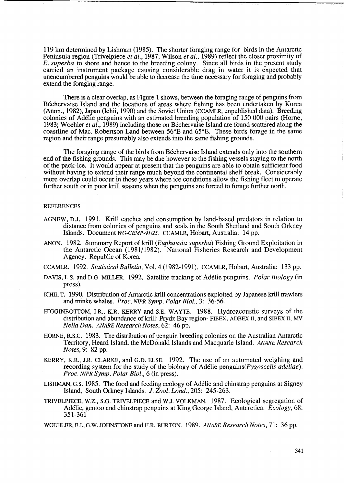119 km detennined by Lishman (1985). The shorter foraging range for birds in the Antarctic Peninsula region (Trivelpiece *et al.,* 1987; Wilson *et al.,* 1989) reflect the closer proximity of *E. superba* to shore and hence to the breeding colony. Since all birds in the present study carried an instrument package causing considerable drag in water it is expected that unencumbered penguins would be able to decrease the time necessary for foraging and probably extend the foraging range.

There is a clear overlap, as Figure 1 shows, between the foraging range of penguins from Bechervaise Island and the locations of areas where fishing has been undertaken by Korea (Anon., 1982), Japan (Ichii, 1990) and the Soviet Union (CCAMLR, unpublished data). Breeding colonies of Adelie penguins with an estimated breeding population of 150 000 pairs (Home, 1983; Woehler *et al.,* 1989) including those on Bechervaise Island are found scattered along the coastline of Mac. Robertson Land between 56°E and 65°E. These birds forage in the same region and their range presumably also extends into the same fishing grounds.

The foraging range of the birds from Béchervaise Island extends only into the southern end of the fishing grounds. This may be due however to the fishing vessels staying to the north of the pack-ice. It would appear at present that the penguins are able to obtain sufficient food without having to extend their range much beyond the continental shelf break. Considerably more overlap could occur in those years where ice conditions allow the fishing fleet to operate further south or in poor krill seasons when the penguins are forced to forage further north.

# **REFERENCES**

- AGNEW, D.J. 1991. Krill catches and consumption by land-based predators in relation to distance from colonies of penguins and seals in the South Shetland and South Orkney Islands. Document WG-CEMP-9JI2S. CCAMLR, Hobart, Australia: 14 pp.
- ANON. 1982. Summary Report of krill *(Euphausia superba)* Fishing Ground Exploitation in the Antarctic Ocean (1981/1982). National Fisheries Research and Development Agency. Republic of Korea.
- CCAMLR. 1992. *Statistical Bulletin,* Vol. 4 (1982-1991). CCAMLR, Hobart, Australia: 133 pp.
- DAVIS, L.S. and D.G. MILLER 1992. Satellite tracking of Ad6lie penguins. *Polar Biology* (in press).
- ICIllI, T. 1990. Distribution of Antarctic krill concentrations exploited by Japanese krill trawlers and minke whales. *Proc. NIPR Symp. Polar BioI.,* 3: 36-56.
- HIGGINBOTTOM, I.R., K.R KERRY and S.E. WAYTE. 1988. Hydroacoustic surveys of the distribution and abundance of krill: Prydz Bay region- FIBEX, ADBEX II, and SIBEX II, MV *Nella Dan. ANARE Research Notes,* 62: 46 pp.
- HORNE, RS.C. 1983. The distribution of penguin breeding colonies on the Australian Antarctic Territory, Heard Island, the McDonald Islands and Macquarie Island. *ANARE Research Notes,* 9: 82 pp.
- KERRY, K.R., J.R. CLARKE, and G.D. ELSE. 1992. The use of an automated weighing and recording system for the study of the biology of Ad6lie *penguins(Pygoscelis adeliae). Proc. NIPR Symp. Polar Bioi.,* 6 (in press).
- LISHMAN, G.S. 1985. The food and feeding ecology of Ad6lie and chinstrap penguins at Signey Island, South Orkney Islands. *1.2001. Lond.,* 205: 245-263.
- TRIVELPIECE, W.Z., S.G. TRlVELPIECE and W.J. VOLKMAN. 1987. Ecological segregation of Ad6lie, gentoo and chinstrap penguins at King George Island, Antarctica. *Ecology,* 68: 351-361
- WOEHLER, EJ., G.W. JOHNSTONE and H.R. BURTON. 1989. *ANARE Research Notes,* 71: 36 pp.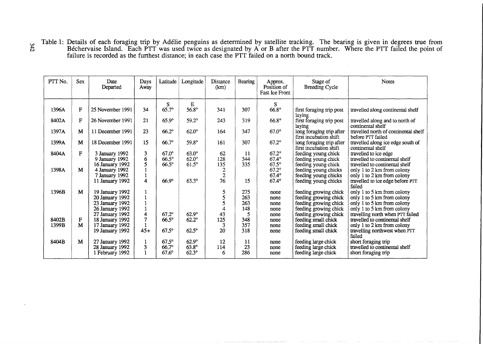Table 1: Details of each foraging trip by Ad€lie penguins as determined by satellite tracking. The bearing is given in degrees true from Béchervaise Island. Each PTT was used twice as designated by A or B after the PTT number. Where the PTT failed the point of failure is recorded as the furthest distance; in each case the PTT failed on a north bound track.

| PTT No. | <b>Sex</b> | Date<br>Departed | Days<br>Away   | Latitude     | Longitude    | Distance<br>(km) | Bearing | Approx.<br>Position of<br>Fast Ice Front | Stage of<br><b>Breeding Cycle</b>                  | <b>Notes</b>                                              |
|---------|------------|------------------|----------------|--------------|--------------|------------------|---------|------------------------------------------|----------------------------------------------------|-----------------------------------------------------------|
|         |            |                  |                | S            | $\mathbf E$  |                  |         | S.                                       |                                                    |                                                           |
| 1396A   | F          | 25 November 1991 | 34             | $65.7^\circ$ | $56.8^\circ$ | 341              | 307     | $66.8^\circ$                             | first foraging trip post<br>laying                 | travelled along continental shelf                         |
| 8402A   | F          | 26 November 1991 | 21             | $65.9^\circ$ | $59.2^\circ$ | 243              | 319     | $66.8^\circ$                             | first foraging trip post<br>laying                 | travelled along and to north of<br>continental shelf      |
| 1397A   | M          | 11 December 1991 | 23             | $66.2^\circ$ | $62.0^\circ$ | 164              | 347     | $67.0^\circ$                             | long foraging trip after<br>first incubation shift | travelled north of continental shelf<br>before PTT failed |
| 1399A   | M          | 18 December 1991 | 15             | $66.7^\circ$ | $59.8^\circ$ | 161              | 307     | $67.2^\circ$                             | long foraging trip after<br>first incubation shift | travelled along ice edge south of<br>continental shelf    |
| 8404A   | F          | 3 January 1992   | 3              | $67.0^\circ$ | $63.0^\circ$ | 62               | 11      | $67.2^\circ$                             | feeding young chick                                | travelled to ice edge                                     |
|         |            | 9 January 1992   | 6              | $66.5^\circ$ | $62.0^\circ$ | 128              | 344     | $67.4^\circ$                             | feeding young chick                                | travelled to continental shelf                            |
|         |            | 16 January 1992  | 5              | $66.5^\circ$ | $61.5^\circ$ | 135              | 335     | $67.5^\circ$                             | feeding young chick                                | travelled to continental shelf                            |
| 1398A   | M          | 4 January 1992   |                |              |              |                  |         | $67.2^\circ$                             | feeding young chicks                               | only 1 to 2 km from colony                                |
|         |            | 7 January 1992   |                |              |              | $\overline{c}$   |         | $67.4^\circ$                             | feeding young chicks                               | only 1 to 2 km from colony                                |
|         |            | 11 January 1992  | 4              | $66.9^\circ$ | $63.3^\circ$ | 76               | 15      | $67.4^\circ$                             | feeding young chicks                               | travelled to ice edge before PTT<br>failed                |
| 1396B   | M          | 19 January 1992  |                |              |              | 5                | 275     | none                                     | feeding growing chick                              | only 1 to 5 km from colony                                |
|         |            | 20 January 1992  |                |              |              | 5                | 263     | none                                     | feeding growing chick                              | only 1 to 5 km from colony                                |
|         |            | 23 January 1992  |                |              |              | 5                | 263     | none                                     | feeding growing chick                              | only 1 to 5 km from colony                                |
|         |            | 26 January 1992  |                |              |              | 4                | 148     | none                                     | feeding growing chick                              | only 1 to 5 km from colony                                |
|         |            | 27 January 1992  | 4              | $67.2^\circ$ | $62.9^\circ$ | 43               | 5       | none                                     | feeding growing chick                              | travelling north when PTT failed                          |
| 8402B   | F          | 18 January 1992  | $\overline{7}$ | $66.5^\circ$ | $62.2^\circ$ | 125              | 348     | none                                     | feeding small chick                                | travelled to continental shelf                            |
| 1399B   | M          | 17 January 1992  |                |              |              | 3                | 357     | none                                     | feeding small chick                                | only 1 to 2 km from colony                                |
|         |            | 19 January 1992  | $45+$          | $67.5^\circ$ | $62.5^\circ$ | 20               | 318     | none                                     | feeding small chick                                | travelling northwest when PIT<br>failed                   |
| 8404B   | M          | 27 January 1992  |                | $67.5^\circ$ | $62.9^\circ$ | 12               | 11      | none                                     | feeding large chick                                | short foraging trip                                       |
|         |            | 28 January 1992  | 3              | $66.7^\circ$ | $63.8^\circ$ | 114              | 23      | none                                     | feeding large chick                                | travelled to continental shelf                            |
|         |            | 1 February 1992  |                | $67.6^\circ$ | $62.3^\circ$ | 6                | 286     | none                                     | feeding large chick                                | short foraging trip                                       |

w  $\sim$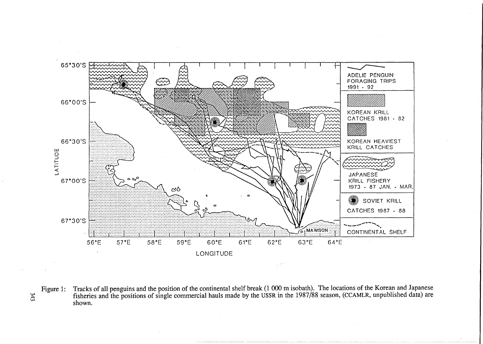

Tracks of all penguins and the position of the continental shelf break (1 000 m isobath). The locations of the Korean and Japanese<br>fisheries and the positions of single commercial hauls made by the USSR in the 1987/88 seas Figure 1: shown.

 $343$